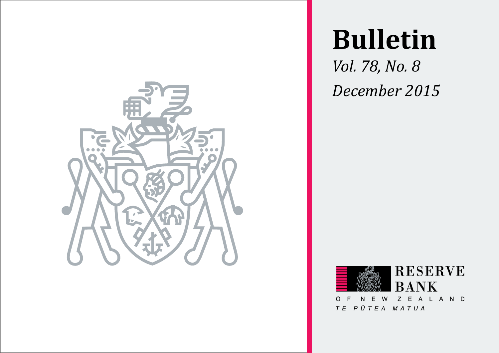

# **Bulletin**

*Vol. 78, No. 8 December 2015*



TE PŪTEA MATUA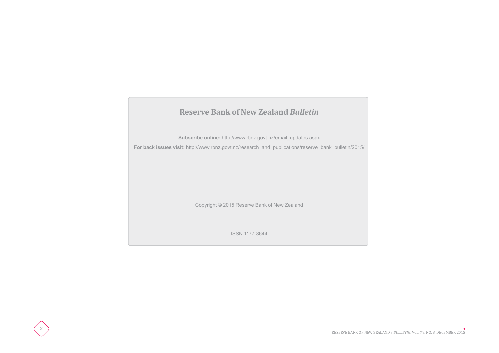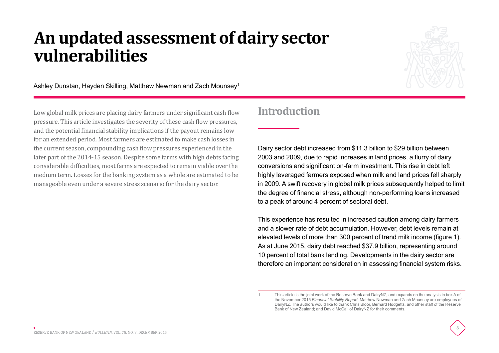## **An updated assessment of dairy sector vulnerabilities**



3

Ashley Dunstan, Hayden Skilling, Matthew Newman and Zach Mounsey1

Low global milk prices are placing dairy farmers under significant cash flow pressure. This article investigates the severity of these cash flow pressures, and the potential financial stability implications if the payout remains low for an extended period. Most farmers are estimated to make cash losses in the current season, compounding cash flow pressures experienced in the later part of the 2014-15 season. Despite some farms with high debts facing considerable difficulties, most farms are expected to remain viable over the medium term. Losses for the banking system as a whole are estimated to be manageable even under a severe stress scenario for the dairy sector.

## **Introduction**

Dairy sector debt increased from \$11.3 billion to \$29 billion between 2003 and 2009, due to rapid increases in land prices, a flurry of dairy conversions and significant on-farm investment. This rise in debt left highly leveraged farmers exposed when milk and land prices fell sharply in 2009. A swift recovery in global milk prices subsequently helped to limit the degree of financial stress, although non-performing loans increased to a peak of around 4 percent of sectoral debt.

This experience has resulted in increased caution among dairy farmers and a slower rate of debt accumulation. However, debt levels remain at elevated levels of more than 300 percent of trend milk income (figure 1). As at June 2015, dairy debt reached \$37.9 billion, representing around 10 percent of total bank lending. Developments in the dairy sector are therefore an important consideration in assessing financial system risks.

<sup>1</sup> This article is the joint work of the Reserve Bank and DairyNZ, and expands on the analysis in box A of the November 2015 *Financial Stability Report*. Matthew Newman and Zach Mounsey are employees of DairyNZ. The authors would like to thank Chris Bloor, Bernard Hodgetts, and other staff of the Reserve Bank of New Zealand; and David McCall of DairyNZ for their comments.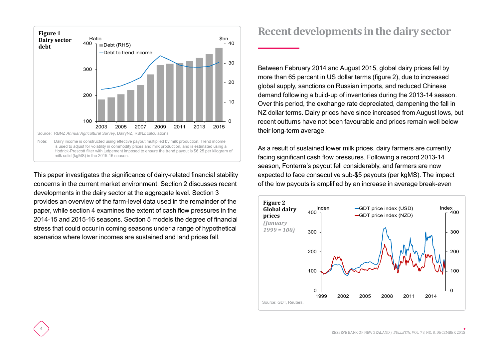

This paper investigates the significance of dairy-related financial stability concerns in the current market environment. Section 2 discusses recent developments in the dairy sector at the aggregate level. Section 3 provides an overview of the farm-level data used in the remainder of the paper, while section 4 examines the extent of cash flow pressures in the 2014-15 and 2015-16 seasons. Section 5 models the degree of financial stress that could occur in coming seasons under a range of hypothetical scenarios where lower incomes are sustained and land prices fall.

4

#### **Recent developments in the dairy sector**

Between February 2014 and August 2015, global dairy prices fell by more than 65 percent in US dollar terms (figure 2), due to increased global supply, sanctions on Russian imports, and reduced Chinese demand following a build-up of inventories during the 2013-14 season. Over this period, the exchange rate depreciated, dampening the fall in NZ dollar terms. Dairy prices have since increased from August lows, but recent outturns have not been favourable and prices remain well below their long-term average.

As a result of sustained lower milk prices, dairy farmers are currently facing significant cash flow pressures. Following a record 2013-14 season, Fonterra's payout fell considerably, and farmers are now expected to face consecutive sub-\$5 payouts (per kgMS). The impact of the low payouts is amplified by an increase in average break-even

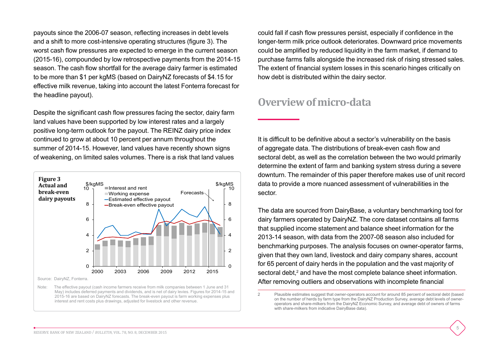payouts since the 2006-07 season, reflecting increases in debt levels and a shift to more cost-intensive operating structures (figure 3). The worst cash flow pressures are expected to emerge in the current season (2015-16), compounded by low retrospective payments from the 2014-15 season. The cash flow shortfall for the average dairy farmer is estimated to be more than \$1 per kgMS (based on DairyNZ forecasts of \$4.15 for effective milk revenue, taking into account the latest Fonterra forecast for the headline payout).

Despite the significant cash flow pressures facing the sector, dairy farm land values have been supported by low interest rates and a largely positive long-term outlook for the payout. The REINZ dairy price index continued to grow at about 10 percent per annum throughout the summer of 2014-15. However, land values have recently shown signs of weakening, on limited sales volumes. There is a risk that land values



May) includes deferred payments and dividends, and is net of dairy levies. Figures for 2014-15 and 2015-16 are based on DairyNZ forecasts. The break-even payout is farm working expenses plus interest and rent costs plus drawings, adjusted for livestock and other revenue.

could fall if cash flow pressures persist, especially if confidence in the longer-term milk price outlook deteriorates. Downward price movements could be amplified by reduced liquidity in the farm market, if demand to purchase farms falls alongside the increased risk of rising stressed sales. The extent of financial system losses in this scenario hinges critically on how debt is distributed within the dairy sector.

### **Overview of micro-data**

It is difficult to be definitive about a sector's vulnerability on the basis of aggregate data. The distributions of break-even cash flow and sectoral debt, as well as the correlation between the two would primarily determine the extent of farm and banking system stress during a severe downturn. The remainder of this paper therefore makes use of unit record data to provide a more nuanced assessment of vulnerabilities in the sector.

The data are sourced from DairyBase, a voluntary benchmarking tool for dairy farmers operated by DairyNZ. The core dataset contains all farms that supplied income statement and balance sheet information for the 2013-14 season, with data from the 2007-08 season also included for benchmarking purposes. The analysis focuses on owner-operator farms, given that they own land, livestock and dairy company shares, account for 65 percent of dairy herds in the population and the vast majority of sectoral debt,<sup>2</sup> and have the most complete balance sheet information. After removing outliers and observations with incomplete financial

<sup>2</sup> Plausible estimates suggest that owner-operators account for around 85 percent of sectoral debt (based on the number of herds by farm type from the DairyNZ Production Survey, average debt levels of owneroperators and share-milkers from the DairyNZ Economic Survey, and average debt of owners of farms with share-milkers from indicative DairyBase data).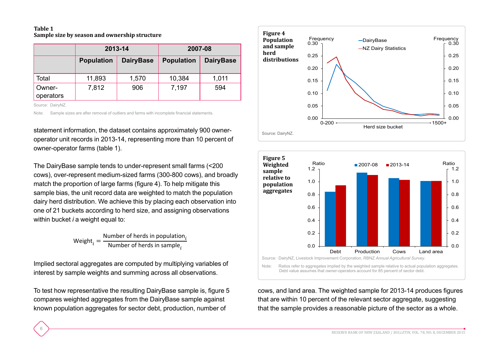#### **Table 1 Sample size by season and ownership structure**

|                     | 2013-14           |                  | 2007-08           |                  |  |
|---------------------|-------------------|------------------|-------------------|------------------|--|
|                     | <b>Population</b> | <b>DairyBase</b> | <b>Population</b> | <b>DairyBase</b> |  |
| Total               | 11,893            | 1,570            | 10,384            | 1,011            |  |
| Owner-<br>operators | 7,812             | 906              | 7,197             | 594              |  |

Source: DairyNZ.

6

Note: Sample sizes are after removal of outliers and farms with incomplete financial statements.

statement information, the dataset contains approximately 900 owneroperator unit records in 2013-14, representing more than 10 percent of owner-operator farms (table 1).

The DairyBase sample tends to under-represent small farms (<200 cows), over-represent medium-sized farms (300-800 cows), and broadly match the proportion of large farms (figure 4). To help mitigate this sample bias, the unit record data are weighted to match the population dairy herd distribution. We achieve this by placing each observation into one of 21 buckets according to herd size, and assigning observations within bucket *i* a weight equal to:

 $Weight_i = \frac{Number\ of\ herds\ in\ population_i}{Number\ of\ herds\ in\ sample_i}$ 

Implied sectoral aggregates are computed by multiplying variables of interest by sample weights and summing across all observations.

To test how representative the resulting DairyBase sample is, figure 5 compares weighted aggregates from the DairyBase sample against known population aggregates for sector debt, production, number of





cows, and land area. The weighted sample for 2013-14 produces figures that are within 10 percent of the relevant sector aggregate, suggesting that the sample provides a reasonable picture of the sector as a whole.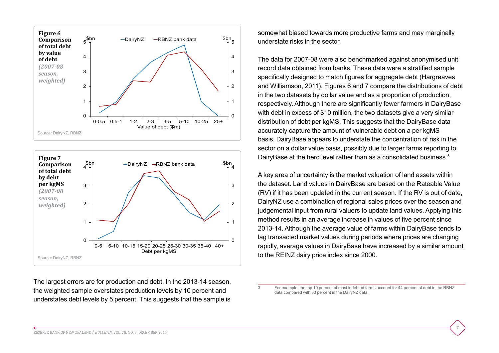



The largest errors are for production and debt. In the 2013-14 season, the weighted sample overstates production levels by 10 percent and understates debt levels by 5 percent. This suggests that the sample is

somewhat biased towards more productive farms and may marginally understate risks in the sector.

The data for 2007-08 were also benchmarked against anonymised unit record data obtained from banks. These data were a stratified sample specifically designed to match figures for aggregate debt (Hargreaves and Williamson, 2011). Figures 6 and 7 compare the distributions of debt in the two datasets by dollar value and as a proportion of production, respectively. Although there are significantly fewer farmers in DairyBase with debt in excess of \$10 million, the two datasets give a very similar distribution of debt per kgMS. This suggests that the DairyBase data accurately capture the amount of vulnerable debt on a per kgMS basis. DairyBase appears to understate the concentration of risk in the sector on a dollar value basis, possibly due to larger farms reporting to DairyBase at the herd level rather than as a consolidated business.<sup>3</sup>

A key area of uncertainty is the market valuation of land assets within the dataset. Land values in DairyBase are based on the Rateable Value (RV) if it has been updated in the current season. If the RV is out of date, DairyNZ use a combination of regional sales prices over the season and judgemental input from rural valuers to update land values. Applying this method results in an average increase in values of five percent since 2013-14. Although the average value of farms within DairyBase tends to lag transacted market values during periods where prices are changing rapidly, average values in DairyBase have increased by a similar amount to the REINZ dairy price index since 2000.

<sup>3</sup> For example, the top 10 percent of most indebted farms account for 44 percent of debt in the RBNZ data compared with 33 percent in the DairyNZ data.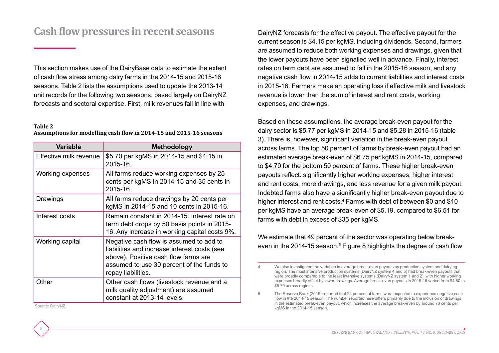## **Cash flow pressures in recent seasons**

This section makes use of the DairyBase data to estimate the extent of cash flow stress among dairy farms in the 2014-15 and 2015-16 seasons. Table 2 lists the assumptions used to update the 2013-14 unit records for the following two seasons, based largely on DairyNZ forecasts and sectoral expertise. First, milk revenues fall in line with

#### **Table 2**

**Assumptions for modelling cash flow in 2014-15 and 2015-16 seasons**

| <b>Variable</b>        | <b>Methodology</b>                                                                                                                                                                                 |  |  |
|------------------------|----------------------------------------------------------------------------------------------------------------------------------------------------------------------------------------------------|--|--|
| Effective milk revenue | \$5.70 per kgMS in 2014-15 and \$4.15 in<br>2015-16.                                                                                                                                               |  |  |
| Working expenses       | All farms reduce working expenses by 25<br>cents per kgMS in 2014-15 and 35 cents in<br>2015-16.                                                                                                   |  |  |
| Drawings               | All farms reduce drawings by 20 cents per<br>kgMS in 2014-15 and 10 cents in 2015-16.                                                                                                              |  |  |
| Interest costs         | Remain constant in 2014-15. Interest rate on<br>term debt drops by 50 basis points in 2015-<br>16. Any increase in working capital costs 9%.                                                       |  |  |
| Working capital        | Negative cash flow is assumed to add to<br>liabilities and increase interest costs (see<br>above). Positive cash flow farms are<br>assumed to use 30 percent of the funds to<br>repay liabilities. |  |  |
| Other                  | Other cash flows (livestock revenue and a<br>milk quality adjustment) are assumed<br>constant at 2013-14 levels.                                                                                   |  |  |

DairyNZ forecasts for the effective payout. The effective payout for the current season is \$4.15 per kgMS, including dividends. Second, farmers are assumed to reduce both working expenses and drawings, given that the lower payouts have been signalled well in advance. Finally, interest rates on term debt are assumed to fall in the 2015-16 season, and any negative cash flow in 2014-15 adds to current liabilities and interest costs in 2015-16. Farmers make an operating loss if effective milk and livestock revenue is lower than the sum of interest and rent costs, working expenses, and drawings.

Based on these assumptions, the average break-even payout for the dairy sector is \$5.77 per kgMS in 2014-15 and \$5.28 in 2015-16 (table 3). There is, however, significant variation in the break-even payout across farms. The top 50 percent of farms by break-even payout had an estimated average break-even of \$6.75 per kgMS in 2014-15, compared to \$4.79 for the bottom 50 percent of farms. These higher break-even payouts reflect: significantly higher working expenses, higher interest and rent costs, more drawings, and less revenue for a given milk payout. Indebted farms also have a significantly higher break-even payout due to higher interest and rent costs.4 Farms with debt of between \$0 and \$10 per kgMS have an average break-even of \$5.19, compared to \$6.51 for farms with debt in excess of \$35 per kgMS.

We estimate that 49 percent of the sector was operating below breakeven in the 2014-15 season.<sup>5</sup> Figure 8 highlights the degree of cash flow

We also investigated the variation in average break-even payouts by production system and dairying region. The most intensive production systems (DairyNZ system 4 and 5) had break-even payouts that were broadly comparable to the least intensive systems (DairyNZ system 1 and 2), with higher working expenses broadly offset by lower drawings. Average break-even payouts in 2015-16 varied from \$4.80 to \$5.70 across regions.

<sup>5</sup> The Reserve Bank (2015) reported that 24 percent of farms were expected to experience negative cash flow in the 2014-15 season. The number reported here differs primarily due to the inclusion of drawings in the estimated break-even payout, which increases the average break-even by around 70 cents per kgMS in the 2014-15 season.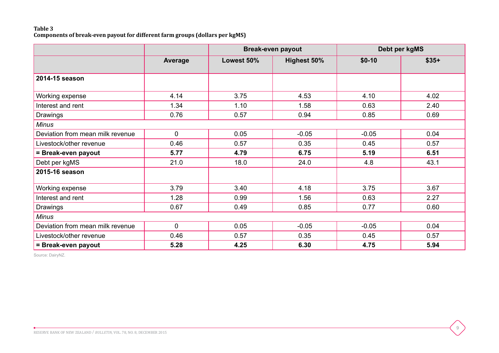#### **Table 3 Components of break-even payout for different farm groups (dollars per kgMS)**

|                                  |             | <b>Break-even payout</b> |                    | Debt per kgMS |        |  |  |
|----------------------------------|-------------|--------------------------|--------------------|---------------|--------|--|--|
|                                  | Average     | Lowest 50%               | <b>Highest 50%</b> | $$0-10$       | $$35+$ |  |  |
| 2014-15 season                   |             |                          |                    |               |        |  |  |
| Working expense                  | 4.14        | 3.75                     | 4.53               | 4.10          | 4.02   |  |  |
| Interest and rent                | 1.34        | 1.10                     | 1.58               | 0.63          | 2.40   |  |  |
| Drawings                         | 0.76        | 0.57                     | 0.94               | 0.85          | 0.69   |  |  |
| <b>Minus</b>                     |             |                          |                    |               |        |  |  |
| Deviation from mean milk revenue | $\mathbf 0$ | 0.05                     | $-0.05$            | $-0.05$       | 0.04   |  |  |
| Livestock/other revenue          | 0.46        | 0.57                     | 0.35               | 0.45          | 0.57   |  |  |
| = Break-even payout              | 5.77        | 4.79                     | 6.75               | 5.19          | 6.51   |  |  |
| Debt per kgMS                    | 21.0        | 18.0                     | 24.0               | 4.8           | 43.1   |  |  |
| 2015-16 season                   |             |                          |                    |               |        |  |  |
| Working expense                  | 3.79        | 3.40                     | 4.18               | 3.75          | 3.67   |  |  |
| Interest and rent                | 1.28        | 0.99                     | 1.56               | 0.63          | 2.27   |  |  |
| Drawings                         | 0.67        | 0.49                     | 0.85               | 0.77          | 0.60   |  |  |
| <b>Minus</b>                     |             |                          |                    |               |        |  |  |
| Deviation from mean milk revenue | $\mathbf 0$ | 0.05                     | $-0.05$            | $-0.05$       | 0.04   |  |  |
| Livestock/other revenue          | 0.46        | 0.57                     | 0.35               | 0.45          | 0.57   |  |  |
| = Break-even payout              | 5.28        | 4.25                     | 6.30               | 4.75          | 5.94   |  |  |

9

Source: DairyNZ.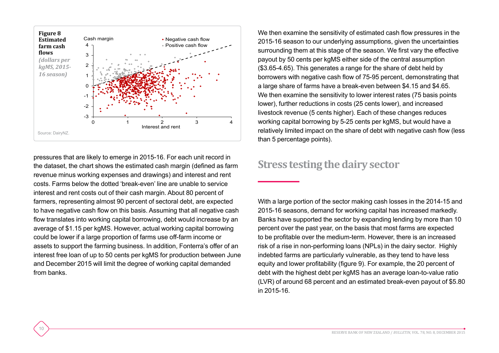

pressures that are likely to emerge in 2015-16. For each unit record in the dataset, the chart shows the estimated cash margin (defined as farm revenue minus working expenses and drawings) and interest and rent costs. Farms below the dotted 'break-even' line are unable to service interest and rent costs out of their cash margin. About 80 percent of farmers, representing almost 90 percent of sectoral debt, are expected to have negative cash flow on this basis. Assuming that all negative cash flow translates into working capital borrowing, debt would increase by an average of \$1.15 per kgMS. However, actual working capital borrowing could be lower if a large proportion of farms use off-farm income or assets to support the farming business. In addition, Fonterra's offer of an interest free loan of up to 50 cents per kgMS for production between June and December 2015 will limit the degree of working capital demanded from banks.

 $1<sub>0</sub>$ 

We then examine the sensitivity of estimated cash flow pressures in the 2015-16 season to our underlying assumptions, given the uncertainties surrounding them at this stage of the season. We first vary the effective payout by 50 cents per kgMS either side of the central assumption (\$3.65-4.65). This generates a range for the share of debt held by borrowers with negative cash flow of 75-95 percent, demonstrating that a large share of farms have a break-even between \$4.15 and \$4.65. We then examine the sensitivity to lower interest rates (75 basis points) lower), further reductions in costs (25 cents lower), and increased livestock revenue (5 cents higher). Each of these changes reduces working capital borrowing by 5-25 cents per kgMS, but would have a relatively limited impact on the share of debt with negative cash flow (less than 5 percentage points).

#### **Stress testing the dairy sector**

With a large portion of the sector making cash losses in the 2014-15 and 2015-16 seasons, demand for working capital has increased markedly. Banks have supported the sector by expanding lending by more than 10 percent over the past year, on the basis that most farms are expected to be profitable over the medium-term. However, there is an increased risk of a rise in non-performing loans (NPLs) in the dairy sector. Highly indebted farms are particularly vulnerable, as they tend to have less equity and lower profitability (figure 9). For example, the 20 percent of debt with the highest debt per kgMS has an average loan-to-value ratio (LVR) of around 68 percent and an estimated break-even payout of \$5.80 in 2015-16.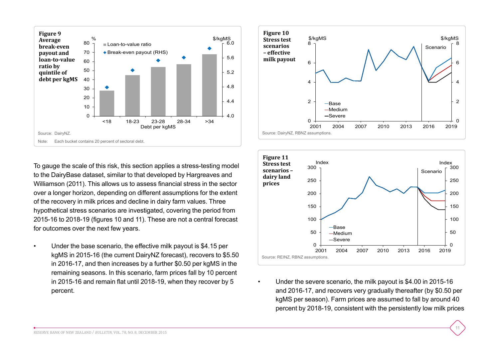

To gauge the scale of this risk, this section applies a stress-testing model to the DairyBase dataset, similar to that developed by Hargreaves and Williamson (2011). This allows us to assess financial stress in the sector over a longer horizon, depending on different assumptions for the extent of the recovery in milk prices and decline in dairy farm values. Three hypothetical stress scenarios are investigated, covering the period from 2015-16 to 2018-19 (figures 10 and 11). These are not a central forecast for outcomes over the next few years.

• Under the base scenario, the effective milk payout is \$4.15 per kgMS in 2015-16 (the current DairyNZ forecast), recovers to \$5.50 in 2016-17, and then increases by a further \$0.50 per kgMS in the remaining seasons. In this scenario, farm prices fall by 10 percent in 2015-16 and remain flat until 2018-19, when they recover by 5 percent.





• Under the severe scenario, the milk payout is \$4.00 in 2015-16 and 2016-17, and recovers very gradually thereafter (by \$0.50 per kgMS per season). Farm prices are assumed to fall by around 40 percent by 2018-19, consistent with the persistently low milk prices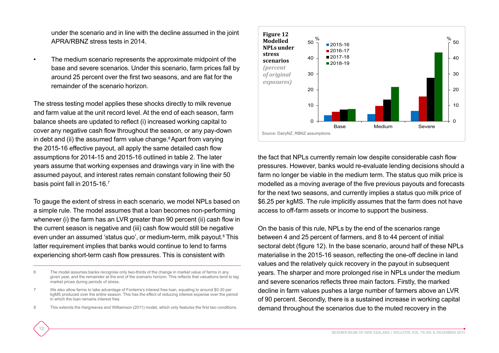under the scenario and in line with the decline assumed in the joint APRA/RBNZ stress tests in 2014.

The medium scenario represents the approximate midpoint of the base and severe scenarios. Under this scenario, farm prices fall by around 25 percent over the first two seasons, and are flat for the remainder of the scenario horizon.

The stress testing model applies these shocks directly to milk revenue and farm value at the unit record level. At the end of each season, farm balance sheets are updated to reflect (i) increased working capital to cover any negative cash flow throughout the season, or any pay-down in debt and (ii) the assumed farm value change. $6$  Apart from varying the 2015-16 effective payout, all apply the same detailed cash flow assumptions for 2014-15 and 2015-16 outlined in table 2. The later years assume that working expenses and drawings vary in line with the assumed payout, and interest rates remain constant following their 50 basis point fall in 2015-16.7

To gauge the extent of stress in each scenario, we model NPLs based on a simple rule. The model assumes that a loan becomes non-performing whenever (i) the farm has an LVR greater than 90 percent (ii) cash flow in the current season is negative and (iii) cash flow would still be negative even under an assumed 'status quo', or medium-term, milk payout.<sup>8</sup> This latter requirement implies that banks would continue to lend to farms experiencing short-term cash flow pressures. This is consistent with

8 This extends the Hargreaves and Williamson (2011) model, which only features the first two conditions.

12



the fact that NPLs currently remain low despite considerable cash flow pressures. However, banks would re-evaluate lending decisions should a farm no longer be viable in the medium term. The status quo milk price is modelled as a moving average of the five previous payouts and forecasts for the next two seasons, and currently implies a status quo milk price of \$6.25 per kgMS. The rule implicitly assumes that the farm does not have access to off-farm assets or income to support the business.

On the basis of this rule, NPLs by the end of the scenarios range between 4 and 25 percent of farmers, and 8 to 44 percent of initial sectoral debt (figure 12). In the base scenario, around half of these NPLs materialise in the 2015-16 season, reflecting the one-off decline in land values and the relatively quick recovery in the payout in subsequent years. The sharper and more prolonged rise in NPLs under the medium and severe scenarios reflects three main factors. Firstly, the marked decline in farm values pushes a large number of farmers above an LVR of 90 percent. Secondly, there is a sustained increase in working capital demand throughout the scenarios due to the muted recovery in the

<sup>6</sup> The model assumes banks recognise only two-thirds of the change in market value of farms in any given year, and the remainder at the end of the scenario horizon. This reflects that valuations tend to lag market prices during periods of stress.

<sup>7</sup> We also allow farms to take advantage of Fonterra's interest free loan, equating to around \$0.30 per kgMS produced over the entire season. This has the effect of reducing interest expense over the period in which the loan remains interest free.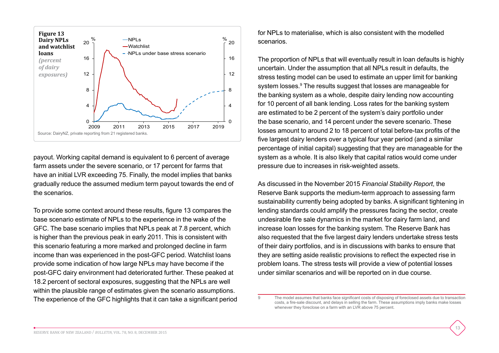

payout. Working capital demand is equivalent to 6 percent of average farm assets under the severe scenario, or 17 percent for farms that have an initial LVR exceeding 75. Finally, the model implies that banks gradually reduce the assumed medium term payout towards the end of the scenarios.

To provide some context around these results, figure 13 compares the base scenario estimate of NPLs to the experience in the wake of the GFC. The base scenario implies that NPLs peak at 7.8 percent, which is higher than the previous peak in early 2011. This is consistent with this scenario featuring a more marked and prolonged decline in farm income than was experienced in the post-GFC period. Watchlist loans provide some indication of how large NPLs may have become if the post-GFC dairy environment had deteriorated further. These peaked at 18.2 percent of sectoral exposures, suggesting that the NPLs are well within the plausible range of estimates given the scenario assumptions. The experience of the GFC highlights that it can take a significant period for NPLs to materialise, which is also consistent with the modelled scenarios.

The proportion of NPLs that will eventually result in loan defaults is highly uncertain. Under the assumption that all NPLs result in defaults, the stress testing model can be used to estimate an upper limit for banking system losses.<sup>9</sup> The results suggest that losses are manageable for the banking system as a whole, despite dairy lending now accounting for 10 percent of all bank lending. Loss rates for the banking system are estimated to be 2 percent of the system's dairy portfolio under the base scenario, and 14 percent under the severe scenario. These losses amount to around 2 to 18 percent of total before-tax profits of the five largest dairy lenders over a typical four year period (and a similar percentage of initial capital) suggesting that they are manageable for the system as a whole. It is also likely that capital ratios would come under pressure due to increases in risk-weighted assets.

As discussed in the November 2015 *Financial Stability Report*, the Reserve Bank supports the medium-term approach to assessing farm sustainability currently being adopted by banks. A significant tightening in lending standards could amplify the pressures facing the sector, create undesirable fire sale dynamics in the market for dairy farm land, and increase loan losses for the banking system. The Reserve Bank has also requested that the five largest dairy lenders undertake stress tests of their dairy portfolios, and is in discussions with banks to ensure that they are setting aside realistic provisions to reflect the expected rise in problem loans. The stress tests will provide a view of potential losses under similar scenarios and will be reported on in due course.

The model assumes that banks face significant costs of disposing of foreclosed assets due to transaction costs, a fire-sale discount, and delays in selling the farm. These assumptions imply banks make losses whenever they foreclose on a farm with an LVR above 75 percent.